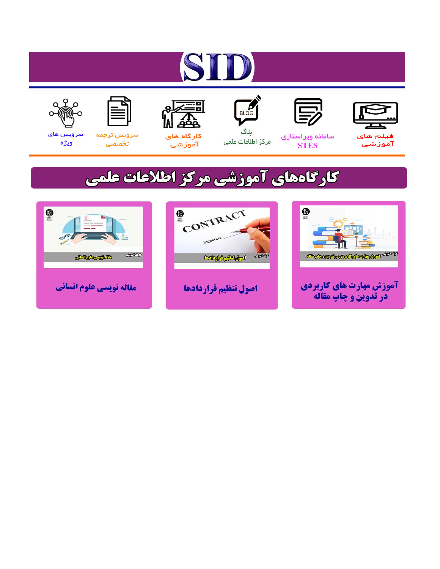# ST











ىلاگ



مرکز اطلاعات علمی

 $\frac{1}{\sqrt{\frac{1}{100}}}$ 

Cologie Legislation

کارگاه های آموزشي

空

ققق

 $\begin{matrix} \textcircled{\footnotesize{A}}\\ \textcircled{\footnotesize{B}} \end{matrix}$ 

سرويس ترجمه تخصصى



سرویس های ويژه

كارگاههای آموزشی مركز اطلاعات علمی

CONTRACT

اصول تنظيم قراردادها



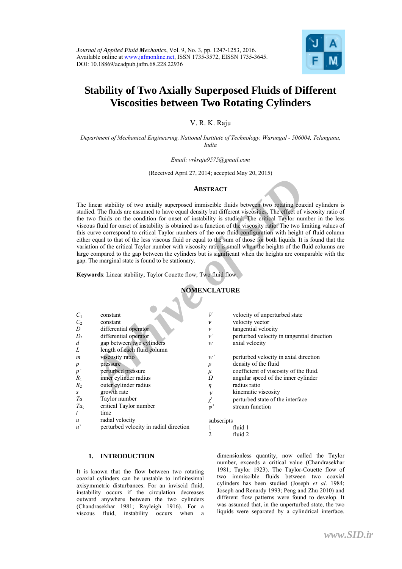

# **Stability of Two Axially Superposed Fluids of Different Viscosities between Two Rotating Cylinders**

V. R. K. Raju

*Department of Mechanical Engineering, National Institute of Technology, Warangal - 506004, Telangana, India* 

#### *Email: vrkraju9575@gmail.com*

(Received April 27, 2014; accepted May 20, 2015)

#### **ABSTRACT**

### **NOMENCLATURE**

|                     |                                                                         | <b>ABSTRACT</b>       |                                                                                                                                                                                                                                                                                                                                                                                                                                                                                                                                                                                                                                                                                                                                                                                                                                                                                                                |
|---------------------|-------------------------------------------------------------------------|-----------------------|----------------------------------------------------------------------------------------------------------------------------------------------------------------------------------------------------------------------------------------------------------------------------------------------------------------------------------------------------------------------------------------------------------------------------------------------------------------------------------------------------------------------------------------------------------------------------------------------------------------------------------------------------------------------------------------------------------------------------------------------------------------------------------------------------------------------------------------------------------------------------------------------------------------|
|                     | gap. The marginal state is found to be stationary.                      |                       | The linear stability of two axially superposed immiscible fluids between two rotating coaxial cylinder<br>studied. The fluids are assumed to have equal density but different viscosities. The effect of viscosity ratio<br>the two fluids on the condition for onset of instability is studied. The critical Taylor number in the<br>viscous fluid for onset of instability is obtained as a function of the viscosity ratio. The two limiting value<br>this curve correspond to critical Taylor numbers of the one fluid configuration with height of fluid colu<br>either equal to that of the less viscous fluid or equal to the sum of those for both liquids. It is found that<br>variation of the critical Taylor number with viscosity ratio is small when the heights of the fluid columns<br>large compared to the gap between the cylinders but is significant when the heights are comparable with |
|                     | <b>Keywords:</b> Linear stability; Taylor Couette flow; Two fluid flow. |                       |                                                                                                                                                                                                                                                                                                                                                                                                                                                                                                                                                                                                                                                                                                                                                                                                                                                                                                                |
| <b>NOMENCLATURE</b> |                                                                         |                       |                                                                                                                                                                                                                                                                                                                                                                                                                                                                                                                                                                                                                                                                                                                                                                                                                                                                                                                |
|                     |                                                                         |                       |                                                                                                                                                                                                                                                                                                                                                                                                                                                                                                                                                                                                                                                                                                                                                                                                                                                                                                                |
| $C_1$               | constant                                                                | V                     | velocity of unperturbed state                                                                                                                                                                                                                                                                                                                                                                                                                                                                                                                                                                                                                                                                                                                                                                                                                                                                                  |
| C <sub>2</sub>      | constant                                                                | $\boldsymbol{\nu}$    | velocity vector                                                                                                                                                                                                                                                                                                                                                                                                                                                                                                                                                                                                                                                                                                                                                                                                                                                                                                |
| D                   | differential operator                                                   | v                     | tangential velocity                                                                                                                                                                                                                                                                                                                                                                                                                                                                                                                                                                                                                                                                                                                                                                                                                                                                                            |
| $D^*$               | differential operator                                                   | $\nu'$                | perturbed velocity in tangential direction                                                                                                                                                                                                                                                                                                                                                                                                                                                                                                                                                                                                                                                                                                                                                                                                                                                                     |
| d                   | gap between two cylinders                                               | w                     | axial velocity                                                                                                                                                                                                                                                                                                                                                                                                                                                                                                                                                                                                                                                                                                                                                                                                                                                                                                 |
| L                   | length of each fluid column                                             |                       |                                                                                                                                                                                                                                                                                                                                                                                                                                                                                                                                                                                                                                                                                                                                                                                                                                                                                                                |
| m                   | viscosity ratio                                                         | w'                    | perturbed velocity in axial direction                                                                                                                                                                                                                                                                                                                                                                                                                                                                                                                                                                                                                                                                                                                                                                                                                                                                          |
| $\boldsymbol{p}$    | pressure                                                                | $\rho$                | density of the fluid                                                                                                                                                                                                                                                                                                                                                                                                                                                                                                                                                                                                                                                                                                                                                                                                                                                                                           |
| $p^{\prime}$        | perturbed pressure                                                      | $\mu$                 | coefficient of viscosity of the fluid.                                                                                                                                                                                                                                                                                                                                                                                                                                                                                                                                                                                                                                                                                                                                                                                                                                                                         |
| $R_1$               | inner cylinder radius                                                   | Ω                     | angular speed of the inner cylinder                                                                                                                                                                                                                                                                                                                                                                                                                                                                                                                                                                                                                                                                                                                                                                                                                                                                            |
| $R_{2}$             | outer cylinder radius                                                   | $\eta$                | radius ratio                                                                                                                                                                                                                                                                                                                                                                                                                                                                                                                                                                                                                                                                                                                                                                                                                                                                                                   |
| S                   | growth rate                                                             | $\upsilon$            | kinematic viscosity                                                                                                                                                                                                                                                                                                                                                                                                                                                                                                                                                                                                                                                                                                                                                                                                                                                                                            |
| Ta                  | Taylor number                                                           | χ                     | perturbed state of the interface                                                                                                                                                                                                                                                                                                                                                                                                                                                                                                                                                                                                                                                                                                                                                                                                                                                                               |
| $Ta_{c}$            | critical Taylor number                                                  | $\mathbf{w}^{\prime}$ | stream function                                                                                                                                                                                                                                                                                                                                                                                                                                                                                                                                                                                                                                                                                                                                                                                                                                                                                                |
| t                   | time                                                                    |                       |                                                                                                                                                                                                                                                                                                                                                                                                                                                                                                                                                                                                                                                                                                                                                                                                                                                                                                                |
| $\boldsymbol{u}$    | radial velocity                                                         | subscripts            |                                                                                                                                                                                                                                                                                                                                                                                                                                                                                                                                                                                                                                                                                                                                                                                                                                                                                                                |
| $u^{\prime}$        | perturbed velocity in radial direction                                  | 1                     | fluid 1                                                                                                                                                                                                                                                                                                                                                                                                                                                                                                                                                                                                                                                                                                                                                                                                                                                                                                        |
|                     |                                                                         | $\mathfrak{D}$        | fluid <sub>2</sub>                                                                                                                                                                                                                                                                                                                                                                                                                                                                                                                                                                                                                                                                                                                                                                                                                                                                                             |

# **1. INTRODUCTION**

It is known that the flow between two rotating coaxial cylinders can be unstable to infinitesimal axisymmetric disturbances. For an inviscid fluid, instability occurs if the circulation decreases outward anywhere between the two cylinders (Chandrasekhar 1981; Rayleigh 1916). For a viscous fluid, instability occurs when a

dimensionless quantity, now called the Taylor number, exceeds a critical value (Chandrasekhar 1981; Taylor 1923). The Taylor-Couette flow of two immiscible fluids between two coaxial cylinders has been studied (Joseph *et al*. 1984; Joseph and Renardy 1993; Peng and Zhu 2010) and different flow patterns were found to develop. It was assumed that, in the unperturbed state, the two liquids were separated by a cylindrical interface.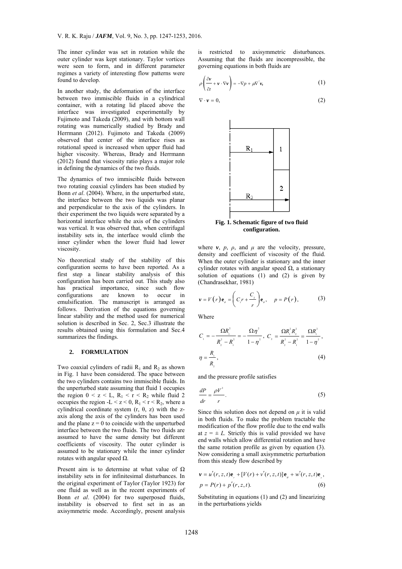The inner cylinder was set in rotation while the outer cylinder was kept stationary. Taylor vortices were seen to form, and in different parameter regimes a variety of interesting flow patterns were found to develop.

In another study, the deformation of the interface between two immiscible fluids in a cylindrical container, with a rotating lid placed above the interface was investigated experimentally by Fujimoto and Takeda (2009), and with bottom wall rotating was numerically studied by Brady and Herrmann (2012). Fujimoto and Takeda (2009) observed that center of the interface rises as rotational speed is increased when upper fluid had higher viscosity. Whereas, Brady and Herrmann (2012) found that viscosity ratio plays a major role in defining the dynamics of the two fluids.

The dynamics of two immiscible fluids between two rotating coaxial cylinders has been studied by Bonn *et al*. (2004). Where, in the unperturbed state, the interface between the two liquids was planar and perpendicular to the axis of the cylinders. In their experiment the two liquids were separated by a horizontal interface while the axis of the cylinders was vertical. It was observed that, when centrifugal instability sets in, the interface would climb the inner cylinder when the lower fluid had lower viscosity.

is of two immiscible fluids between<br>
cooxial cylinders has been studied by<br>
2004). Where, in the unperturbed state,<br>
between the two liquids was planar<br>
cult to the axis of the cylinders. In<br>
the two liquids were separate No theoretical study of the stability of this configuration seems to have been reported. As a first step a linear stability analysis of this configuration has been carried out. This study also has practical importance, since such flow configurations are known to occur emulsification. The manuscript is arranged as follows. Derivation of the equations governing linear stability and the method used for numerical solution is described in Sec. 2, Sec.3 illustrate the results obtained using this formulation and Sec.4 summarizes the findings.

## **2. FORMULATIO**

Two coaxial cylinders of radii  $R_1$  and  $R_2$  as shown in Fig. 1 have been considered. The space between the two cylinders contains two immiscible fluids. In the unperturbed state assuming that fluid 1 occupies the region  $0 < z < L$ ,  $R_1 < r < R_2$  while fluid 2 occupies the region -L < z < 0,  $R_1$  < r <  $R_2$ , where a cylindrical coordinate system  $(r, \theta, z)$  with the zaxis along the axis of the cylinders has been used and the plane  $z = 0$  to coincide with the unperturbed interface between the two fluids. The two fluids are assumed to have the same density but different coefficients of viscosity. The outer cylinder is assumed to be stationary while the inner cylinder rotates with angular speed  $Ω$ .

Present aim is to determine at what value of  $\Omega$ instability sets in for infinitesimal disturbances. In the original experiment of Taylor (Taylor 1923) for one fluid as well as in the recent experiments of Bonn *et al*. (2004) for two superposed fluids, instability is observed to first set in as an axisymmetric mode. Accordingly, present analysis

is restricted to axisymmetric disturbances. Assuming that the fluids are incompressible, the governing equations in both fluids are

$$
\rho\left(\frac{\partial v}{\partial t} + v \cdot \nabla v\right) = -\nabla p + \mu \nabla^2 v,
$$
\n(1)

$$
\nabla \cdot \mathbf{v} = 0,\tag{2}
$$



**Fig. 1. Schematic figure of two fluid configuration.** 

where  $v, p, \rho$ , and  $\mu$  are the velocity, pressure, density and coefficient of viscosity of the fluid. When the outer cylinder is stationary and the inner cylinder rotates with angular speed  $\Omega$ , a stationary solution of equations (1) and (2) is given by (Chandrasekhar, 1981)

$$
V = V(r) \mathbf{e}_o = \left( C_1 r + \frac{C_2}{r} \right) \mathbf{e}_o, \quad p = P(r), \tag{3}
$$

Where

$$
C_{1} = -\frac{\Omega R_{1}^{2}}{R_{2}^{2} - R_{1}^{2}} = -\frac{\Omega \eta^{2}}{1 - \eta^{2}}, \ C_{2} = \frac{\Omega R_{1}^{2} R_{2}^{2}}{R_{2}^{2} - R_{1}^{2}} = \frac{\Omega R_{1}^{2}}{1 - \eta^{2}},
$$
  
\n
$$
\eta = \frac{R_{1}}{R_{2}},
$$
\n(4)

and the pressure profile satisfies

$$
\frac{dP}{dr} = \frac{\rho V^2}{r}.\tag{5}
$$

Since this solution does not depend on *μ* it is valid in both fluids. To make the problem tractable the modification of the flow profile due to the end walls at  $z = \pm L$ . Strictly this is valid provided we have end walls which allow differential rotation and have the same rotation profile as given by equation (3). Now considering a small axisymmetric perturbation from this steady flow described by

$$
\mathbf{v} = u'(r, z, t)\mathbf{e}_{r} + [V(r) + v'(r, z, t)]\mathbf{e}_{\theta} + w'(r, z, t)\mathbf{e}_{z},
$$
  
\n
$$
p = P(r) + p'(r, z, t).
$$
 (6)

Substituting in equations (1) and (2) and linearizing in the perturbations yields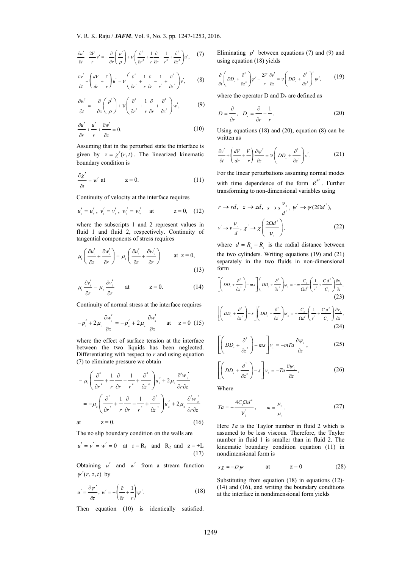$$
\frac{\partial u'}{\partial t} - \frac{2V}{r}v' = -\frac{\partial}{\partial r}\left(\frac{p'}{\rho}\right) + \nu \left(\frac{\partial^2}{\partial r^2} + \frac{1}{r}\frac{\partial}{\partial r} - \frac{1}{r^2} + \frac{\partial^2}{\partial z^2}\right)u',\tag{7}
$$

$$
\frac{\partial v'}{\partial t} + \left(\frac{dV}{dr} + \frac{V}{r}\right)u' = \nu \left(\frac{\partial^2}{\partial r^2} + \frac{1}{r}\frac{\partial}{\partial r} - \frac{1}{r^2} + \frac{\partial^2}{\partial z^2}\right)v',\tag{8}
$$

$$
\frac{\partial w'}{\partial t} = -\frac{\partial}{\partial z} \left( \frac{p'}{\rho} \right) + \nu \left( \frac{\partial^2}{\partial r^2} + \frac{1}{r} \frac{\partial}{\partial r} + \frac{\partial^2}{\partial z^2} \right) w', \tag{9}
$$

$$
\frac{\partial u'}{\partial r} + \frac{u'}{r} + \frac{\partial w'}{\partial z} = 0.
$$
 (10)

Assuming that in the perturbed state the interface is given by  $z = \chi'(r,t)$ . The linearized kinematic boundary condition is

$$
\frac{\partial \chi'}{\partial t} = w' \text{ at } z = 0.
$$
 (11)

Continuity of velocity at the interface requires

$$
u'_1 = u'_2
$$
,  $v'_1 = v'_2$ ,  $w'_1 = w'_2$  at  $z = 0$ , (12)

where the subscripts 1 and 2 represent values in fluid 1 and fluid 2, respectively. Continuity of tangential components of stress requires

$$
\frac{\partial z'}{\partial t} = w' \text{ at } z = 0. \qquad (11)
$$
\n\nContinuity of velocity at the interface requires  
\n $u'_i = u'_i, v'_i = v'_i, w'_i = w'_i$  at  $z = 0$ , (12)  
\nwhere the subscripts 1 and 2 represent values in  
\nthe differential components of stress requires  
\n $\mu_i \left( \frac{\partial u'_i}{\partial z} + \frac{\partial v'_i}{\partial r} \right) = \mu_2 \left( \frac{\partial u'_i}{\partial z} + \frac{\partial v'_i}{\partial r} \right)$  at  $z = 0$ ,  
\n $\mu_i \left( \frac{\partial u'_i}{\partial z} + \frac{\partial v'_i}{\partial r} \right) = \mu_2 \left( \frac{\partial u'_i}{\partial z} + \frac{\partial v'_i}{\partial r} \right)$  at  $z = 0$ ,  
\nContinuity of normal stress at the interface requires  
\n $\mu_i \frac{\partial v'_i}{\partial z} = \mu_2 \frac{\partial v'_i}{\partial z}$  at  $z = 0$ .  
\nContinuity of normal stress at the interface requires  
\n $-p'_i + 2\mu_i \frac{\partial v'_i}{\partial z} = -p'_i + 2\mu_i \frac{\partial v'_i}{\partial z}$  at  $z = 0$ .  
\n $-p'_i + 2\mu_i \frac{\partial v'_i}{\partial z} = -p'_i + 2\mu_i \frac{\partial v'_i}{\partial z}$  at  $z = 0$  (15)  
\nwhere the effect of surface tension at the interface  
\nDifferentiating with respect to *r* and using equation  
\n(7) to eliminate pressure we obtain  
\n $-\mu_i \left( \frac{\partial^2}{\partial r^2} + \frac{\partial^2}{\partial r} - \frac{1}{r^2} + \frac{\partial^2}{\partial z^2} \right)u'_i + 2\mu_i \frac{\partial^2 v'_i}{\partial r \partial z}$ 

$$
\mu_{i} \frac{\partial v'_{i}}{\partial z} = \mu_{2} \frac{\partial v'_{2}}{\partial z} \quad \text{at} \quad z = 0.
$$
 (14)

Continuity of normal stress at the interface requires

$$
-p'_{1} + 2\mu_{1} \frac{\partial w'_{1}}{\partial z} = -p'_{2} + 2\mu_{1} \frac{\partial w'_{1}}{\partial z} \text{ at } z = 0 \quad (15)
$$

where the effect of surface tension at the interface between the two liquids has been neglected. Differentiating with respect to *r* and using equation (7) to eliminate pressure we obtain

$$
-\mu_{1}\left(\frac{\partial^{2}}{\partial r^{2}}+\sqrt{\frac{\partial}{\partial r}}-\frac{1}{r^{2}}+\frac{\partial^{2}}{\partial z^{2}}\right)u_{1}'+2\mu_{1}\frac{\partial^{2}w_{1}'}{\partial r\partial z}
$$

$$
=-\mu_{2}\left(\frac{\partial^{2}}{\partial r^{2}}+\frac{1}{r}\frac{\partial}{\partial r}-\frac{1}{r^{2}}+\frac{\partial^{2}}{\partial z^{2}}\right)u_{2}'+2\mu_{2}\frac{\partial^{2}w_{2}'}{\partial r\partial z}
$$
at 
$$
z=0.
$$
 (16)

$$
\mathfrak{t} =
$$

The no slip boundary condition on the walls are

$$
u' = v' = w' = 0
$$
 at  $r = R_1$  and  $R_2$  and  $z = \pm L$   
(17)

Obtaining  $u'$  and  $w'$  from a stream function  $\psi'(r, z, t)$  by

$$
u' = \frac{\partial \psi'}{\partial z}, \quad w' = -\left(\frac{\partial}{\partial r} + \frac{1}{r}\right)\psi'.
$$
 (18)

Then equation (10) is identically satisfied.

Eliminating  $p'$  between equations (7) and (9) and using equation (18) yields

$$
\frac{\partial}{\partial t}\left(DD_{+}+\frac{\partial^{2}}{\partial z^{2}}\right)\psi'-\frac{2V}{r}\frac{\partial v'}{\partial z}=v\left(DD_{+}+\frac{\partial^{2}}{\partial z^{2}}\right)^{2}\psi',\qquad(19)
$$

where the operator  $D$  and  $D_*$  are defined as

$$
D = \frac{\partial}{\partial r}, \quad D_{\cdot} = \frac{\partial}{\partial r} + \frac{1}{r}.
$$
 (20)

Using equations (18) and (20), equation (8) can be written as

$$
\frac{\partial v'}{\partial t} + \left(\frac{dV}{dr} + \frac{V}{r}\right)\frac{\partial \psi'}{\partial z} = v \left(DD_{z} + \frac{\partial^{2}}{\partial z^{2}}\right)v'.\tag{21}
$$

For the linear perturbations assuming normal modes with time dependence of the form  $e^{st}$ . Further transforming to non-dimensional variables using

$$
r \to rd, \ z \to zd, \ s \to s
$$
  
\n
$$
v' \to v \frac{v}{d} \xrightarrow{v} \chi \left(\frac{2Qd}{v_2}\right),
$$
 (22)

where  $d = R_2 - R_1$  is the radial distance between the two cylinders. Writing equations (19) and (21) separately in the two fluids in non-dimensional form

$$
\left[ \left( DD_{.} + \frac{\partial^{2}}{\partial z^{2}} \right) - ms \right] \left( DD_{.} + \frac{\partial^{2}}{\partial z^{2}} \right) \psi_{1} = -m \frac{C_{.}}{\Omega d^{2}} \left( \frac{1}{r^{2}} + \frac{C_{.}d^{2}}{C_{.}} \right) \frac{\partial v_{1}}{\partial z},
$$
\n(23)

$$
\left[ \left( DD_{+} + \frac{\partial^{2}}{\partial z^{2}} \right) - s \right] \left( DD_{+} + \frac{\partial^{2}}{\partial z^{2}} \right) \psi_{2} = -\frac{C_{2}}{\Omega d^{2}} \left( \frac{1}{r^{2}} + \frac{C_{1}d^{2}}{C_{2}} \right) \frac{\partial v_{2}}{\partial z},
$$
\n(24)

$$
\left[ \left( DD_{+} + \frac{\partial^{2}}{\partial z^{2}} \right) - ms \right] v_{1} = -mT a \frac{\partial \psi_{1}}{\partial z}, \qquad (25)
$$

$$
\left[ \left( DD_{z} + \frac{\partial^{2}}{\partial z^{2}} \right) - s \right] v_{2} = -Ta \frac{\partial \psi_{2}}{\partial z}, \qquad (26)
$$

Where

$$
Ta = -\frac{4C_1 \Omega d^4}{v_2^2}, \qquad m = \frac{\mu_2}{\mu_1}.
$$
 (27)

Here *Ta* is the Taylor number in fluid 2 which is assumed to be less viscous. Therefore, the Taylor number in fluid 1 is smaller than in fluid 2. The kinematic boundary condition equation (11) in nondimensional form is

$$
s\chi = -D_y \psi \qquad \qquad \text{at} \qquad \qquad z = 0 \tag{28}
$$

Substituting from equation (18) in equations (12)- (14) and (16), and writing the boundary conditions at the interface in nondimensional form yields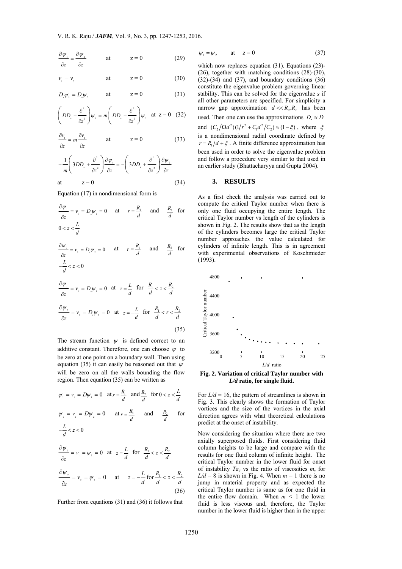$$
\frac{\partial \psi_1}{\partial z} = \frac{\partial \psi_2}{\partial z} \qquad \text{at} \qquad z = 0 \tag{29}
$$

$$
v_{1} = v_{2} \qquad \qquad \text{at} \qquad \qquad z = 0 \tag{30}
$$

$$
D_{\nu} \psi_{1} = D_{\nu} \psi_{2} \qquad \text{at} \qquad z = 0 \tag{31}
$$

$$
\left(DD_{2} - \frac{\partial^{2}}{\partial z^{2}}\right)\psi_{1} = m\left(DD_{2} - \frac{\partial^{2}}{\partial z^{2}}\right)\psi_{2} \text{ at } z = 0 \quad (32)
$$

$$
\frac{\partial v_{1}}{\partial z} = m \frac{\partial v_{2}}{\partial z} \qquad \text{at} \qquad z = 0 \tag{33}
$$

$$
-\frac{1}{m}\left(3DD_{z} + \frac{\partial^{2}}{\partial z^{2}}\right)\frac{\partial \psi_{1}}{\partial z} = -\left(3DD_{z} + \frac{\partial^{2}}{\partial z^{2}}\right)\frac{\partial \psi_{2}}{\partial z}
$$
\nat  $z = 0$  (34)

Equation (17) in nondimensional form is

$$
\frac{\partial \psi_{\perp}}{\partial z} = v_{\perp} = D_{\perp} \psi_{\perp} = 0 \quad \text{at} \quad r = \frac{R_{\perp}}{d} \quad \text{and} \quad \frac{R_{2}}{d} \quad \text{for}
$$
  

$$
0 < z < \frac{L}{d}
$$
  

$$
\frac{\partial \psi_{2}}{\partial z} = v_{2} = D_{\perp} \psi_{2} = 0 \quad \text{at} \quad r = \frac{R_{\perp}}{d} \quad \text{and} \quad \frac{R_{2}}{d} \quad \text{for}
$$
  

$$
-\frac{L}{d} < z < 0
$$
  

$$
\frac{\partial \psi_{\perp}}{\partial z} = v_{\perp} = D_{\perp} \psi_{\perp} = 0 \quad \text{at} \quad z = \frac{L}{d} \quad \text{for} \quad \frac{R_{\perp}}{d} < z < \frac{R_{2}}{d}
$$

$$
\frac{\partial \psi_z}{\partial z} = v_z = D_z \psi_z = 0 \quad \text{at} \quad z = -\frac{L}{d} \quad \text{for} \quad \frac{R_z}{d} \le \frac{R_z}{d}
$$

The stream function  $\psi$  is defined correct to an additive constant. Therefore, one can choose  $\psi$  to be zero at one point on a boundary wall. Then using equation (35) it can easily be reasoned out that  $\psi$ will be zero on all the walls bounding the flow region. Then equation (35) can be written as

$$
\psi_{1} = \nu_{1} = D\psi_{1} = 0
$$
 at  $r = \frac{R_{1}}{d}$  and  $\frac{R_{2}}{d}$  for  $0 < z < \frac{L}{d}$ 

$$
\psi_2 = \nu_2 = D\psi_2 = 0 \quad \text{at } r = \frac{R_1}{d} \quad \text{and} \quad \frac{R_2}{d} \quad \text{for}
$$

$$
-\frac{L}{d} < z < 0
$$

$$
\frac{\partial \psi_1}{\partial z} = \nu_1 = \psi_1 = 0 \quad \text{at} \quad z = \frac{L}{d} \quad \text{for} \quad \frac{R_1}{d} < z < \frac{R_2}{d}
$$

$$
\frac{\partial \psi_2}{\partial z} = v_2 = \psi_2 = 0 \quad \text{at} \quad z = -\frac{L}{d} \text{ for } \frac{R_1}{d} < z < \frac{R_2}{d} \tag{36}
$$

Further from equations (31) and (36) it follows that

$$
\psi_1 = \psi_2 \qquad \text{at} \quad z = 0 \tag{37}
$$

which now replaces equation (31). Equations (23)-(26), together with matching conditions (28)-(30),  $(32)-(34)$  and  $(37)$ , and boundary conditions  $(36)$ constitute the eigenvalue problem governing linear stability. This can be solved for the eigenvalue *s* if all other parameters are specified. For simplicity a narrow gap approximation  $d \ll R_{\alpha} R_{\beta}$  has been used. Then one can use the approximations  $D_z \approx D$ and  $(C_2/\Omega d^2)(1/r^2 + C_1d^2/C_2) \approx (1-\xi)$ , where  $\xi$ is a nondimensional radial coordinate defined by  $r = R_1/d + \xi$ . A finite difference approximation has been used in order to solve the eigenvalue problem and follow a procedure very similar to that used in an earlier study (Bhattacharyya and Gupta 2004).

### **3. RESULTS**

As a first check the analysis was carried out to compute the critical Taylor number when there is only one fluid occupying the entire length. The critical Taylor number vs length of the cylinders is shown in Fig. 2. The results show that as the length of the cylinders becomes large the critical Taylor number approaches the value calculated for cylinders of infinite length. This is in agreement with experimental observations of Koschmieder (1993).



**Fig. 2. Variation of critical Taylor number with**  *L/d* **ratio, for single fluid.** 

For  $L/d = 16$ , the pattern of streamlines is shown in Fig. 3. This clearly shows the formation of Taylor vortices and the size of the vortices in the axial direction agrees with what theoretical calculations predict at the onset of instability.

Now considering the situation where there are two axially superposed fluids. First considering fluid column heights to be large and compare with the results for one fluid column of infinite height. The critical Taylor number in the lower fluid for onset of instability *Tac* vs the ratio of viscosities *m*, for  $L/d = 8$  is shown in Fig. 4. When  $m = 1$  there is no jump in material property and as expected the critical Taylor number is same as for one fluid in the entire flow domain. When  $m \leq 1$  the lower fluid is less viscous and, therefore, the Taylor number in the lower fluid is higher than in the upper

(35)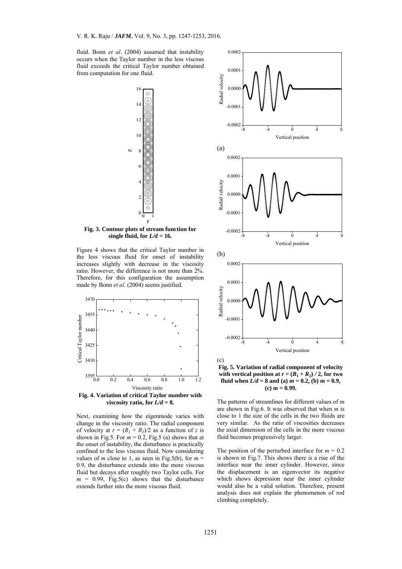fluid. Bonn *et al*. (2004) assumed that instability occurs when the Taylor number in the less viscous fluid exceeds the critical Taylor number obtained from computation for one fluid.



**Fig. 3. Contour plots of stream function for**  single fluid, for  $L/d = 16$ .

Figure 4 shows that the critical Taylor number in the less viscous fluid for onset of instability increases slightly with decrease in the viscosity ratio. However, the difference is not more than 2%. Therefore, for this configuration the assumption made by Bonn *et al*. (2004) seems justified.



**Fig. 4. Variation of critical Taylor number with viscosity ratio, for**  $\overline{L/d} = 8$ **.** 

Next, examining how the eigenmode varies with change in the viscosity ratio. The radial component of velocity at  $r = (R_1 + R_2)/2$  as a function of *z* is shown in Fig.5. For  $m = 0.2$ , Fig.5 (a) shows that at the onset of instability, the disturbance is practically confined to the less viscous fluid. Now considering values of *m* close to 1, as seen in Fig.5(b), for  $m =$ 0*.*9, the disturbance extends into the more viscous fluid but decays after roughly two Taylor cells. For  $m = 0.99$ , Fig.5(c) shows that the disturbance extends further into the more viscous fluid.



**Fig. 5. Variation of radial component of velocity**  with vertical position at  $r = (R_1 + R_2) / 2$ , for two **fluid when**  $L/d = 8$  and (a)  $m = 0.2$ , (b)  $m = 0.9$ , *m* **= 0.99.** 

The patterns of streamlines for different values of m are shown in Fig.6. It was observed that when *m* is close to 1 the size of the cells in the two fluids are very similar. As the ratio of viscosities decreases the axial dimension of the cells in the more viscous fluid becomes progressively larger.

The position of the perturbed interface for  $m = 0.2$ is shown in Fig.7. This shows there is a rise of the interface near the inner cylinder. However, since the displacement is an eigenvector its negative which shows depression near the inner cylinder would also be a valid solution. Therefore, present analysis does not explain the phenomenon of rod climbing completely.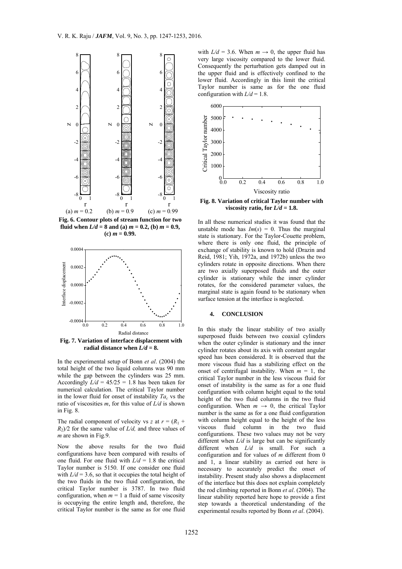

**Fig. 6. Contour plots of stream function for two fluid** when  $L/d = 8$  and (a)  $m = 0.2$ , (b)  $m = 0.9$ ,  $$ 



**Fig. 7. Variation of interface displacement with**  radial distance when  $L/d = 8$ .

In the experimental setup of Bonn *et al*. (2004) the total height of the two liquid columns was 90 mm while the gap between the cylinders was 25 mm. Accordingly  $L/d = 45/25 = 1.8$  has been taken for numerical calculation. The critical Taylor number in the lower fluid for onset of instability  $Ta<sub>c</sub>$  vs the ratio of viscosities *m*, for this value of *L/d* is shown in Fig. 8.

The radial component of velocity vs *z* at  $r = (R_1 + R_2)$  $R_2/2$  for the same value of *L/d,* and three values of *m* are shown in Fig.9.

Now the above results for the two fluid configurations have been compared with results of one fluid. For one fluid with  $L/d = 1.8$  the critical Taylor number is 5150. If one consider one fluid with  $L/d = 3.6$ , so that it occupies the total height of the two fluids in the two fluid configuration, the critical Taylor number is 3787. In two fluid configuration, when  $m = 1$  a fluid of same viscosity is occupying the entire length and, therefore, the critical Taylor number is the same as for one fluid

with  $L/d = 3.6$ . When  $m \rightarrow 0$ , the upper fluid has very large viscosity compared to the lower fluid. Consequently the perturbation gets damped out in the upper fluid and is effectively confined to the lower fluid. Accordingly in this limit the critical Taylor number is same as for the one fluid configuration with  $L/d = 1.8$ .



In all these numerical studies it was found that the unstable mode has  $Im(s) = 0$ . Thus the marginal state is stationary. For the Taylor-Couette problem, where there is only one fluid, the principle of exchange of stability is known to hold (Drazin and Reid, 1981; Yih, 1972a, and 1972b) unless the two cylinders rotate in opposite directions. When there are two axially superposed fluids and the outer cylinder is stationary while the inner cylinder rotates, for the considered parameter values, the marginal state is again found to be stationary when surface tension at the interface is neglected.

#### **4. CONCLUSION**

In this study the linear stability of two axially superposed fluids between two coaxial cylinders when the outer cylinder is stationary and the inner cylinder rotates about its axis with constant angular speed has been considered. It is observed that the more viscous fluid has a stabilizing effect on the onset of centrifugal instability. When  $m = 1$ , the critical Taylor number in the less viscous fluid for onset of instability is the same as for a one fluid configuration with column height equal to the total height of the two fluid columns in the two fluid configuration. When  $m \rightarrow 0$ , the critical Taylor number is the same as for a one fluid configuration with column height equal to the height of the less viscous fluid column in the two fluid configurations. These two values may not be very different when  $L/d$  is large but can be significantly different when *L/d* is small. For such a configuration and for values of *m* different from 0 and 1, a linear stability as carried out here is necessary to accurately predict the onset of instability. Present study also shows a displacement of the interface but this does not explain completely the rod climbing reported in Bonn *et al*. (2004). The linear stability reported here hope to provide a first step towards a theoretical understanding of the experimental results reported by Bonn *et al*. (2004).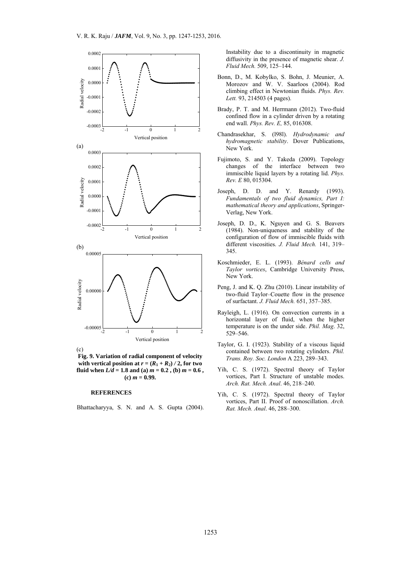

**Fig. 9. Variation of radial component of velocity**  with vertical position at  $r = (R_1 + R_2) / 2$ , for two **fluid when**  $L/d = 1.8$  and (a)  $m = 0.2$  , (b)  $m = 0.6$  ,  $(c)$  *m* = 0.99.

#### **REFERENCES**

Bhattacharyya, S. N. and A. S. Gupta (2004).

Instability due to a discontinuity in magnetic diffusivity in the presence of magnetic shear. *J. Fluid Mech.* 509, 125–144.

- Bonn, D., M. Kobylko, S. Bohn, J. Meunier, A. Morozov and W. V. Saarloos (2004). Rod climbing effect in Newtonian fluids. *Phys. Rev. Lett.* 93, 214503 (4 pages).
- Brady, P. T. and M. Herrmann (2012). Two-fluid confined flow in a cylinder driven by a rotating end wall. *Phys. Rev. E,* 85, 016308.
- Chandrasekhar, S. (l98l). *Hydrodynamic and hydromagnetic stability*. Dover Publications, New York.
- Fujimoto, S. and Y. Takeda (2009). Topology changes of the interface between two immiscible liquid layers by a rotating lid. *Phys. Rev. E* 80, 015304.
- Joseph, D. D. and Y. Renardy (1993). *Fundamentals of two fluid dynamics, Part I: mathematical theory and applications*, Springer-Verlag, New York.
- Joseph, D. D., K. Nguyen and G. S. Beavers (1984). Non-uniqueness and stability of the configuration of flow of immiscible fluids with different viscosities. *J. Fluid Mech.* 141, 319– 345.
- Koschmieder, E. L. (1993). *Bénard cells and Taylor vortices*, Cambridge University Press, New York.
- Peng, J. and K. Q. Zhu (2010). Linear instability of two-fluid Taylor–Couette flow in the presence of surfactant. *J. Fluid Mech.* 651, 357–385.
- Rayleigh, L. (1916). On convection currents in a horizontal layer of fluid, when the higher temperature is on the under side. *Phil. Mag*. 32, 529–546.
- Taylor, G. I. (1923). Stability of a viscous liquid contained between two rotating cylinders. *Phil. Trans. Roy. Soc. London* A 223, 289–343.
- Yih, C. S. (1972). Spectral theory of Taylor vortices, Part I. Structure of unstable modes. *Arch. Rat. Mech. Anal*. 46, 218–240.
- Yih, C. S. (1972). Spectral theory of Taylor vortices, Part II. Proof of nonoscillation. *Arch. Rat. Mech. Anal*. 46, 288–300.